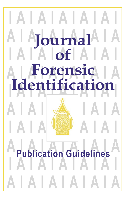# **I A I A I A I A I A I A I A I A I A I A I A Journal of I A I A I A I A I A I A L Forensig | A I A ENGLICALION A I A I A I A I A I A I A I A I A I A I A I** A **Publication Guidelines I A I A I A I A I A I A I A I A I A I A I A Forensic Identification Publication Guidelines**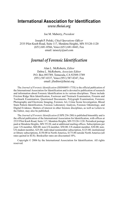## **International Association for Identification** *www.theiai.org*

Joe M. Maberry, *President*

Joseph P. Polski, *Chief Operations Officer* 2535 Pilot Knob Road, Suite 117, Mendota Heights, MN 55120-1120 (651) 681-8566, Voice (651) 681-8443, Fax email: iaisecty@aol.com

### *Journal of Forensic Identification*

Alan L. McRoberts, *Editor* Debra L. McRoberts, *Associate Editor* P.O. Box 893789, Temecula, CA 92589-3789 (951) 587-8337, Voice (951) 587-8347, Fax email: jfieditor@theiai.org

The *Journal of Forensic Identification* (ISSN0895-173X) is the official publication of the International Association for Identification and is devoted to publication of research and information about Forensic Identification in its various disciplines. These include Friction Ridge Skin Identification, Footwear and Tiretrack Examination, Firearm and Toolmark Examination, Questioned Documents, Polygraph Examination, Forensic Photography and Electronic Imaging, Forensic Art, Crime Scene Investigation, Blood Stain Pattern Identification, Forensic Laboratory Analysis, Forensic Odontology, and Digital Evidence. Matters of interest in other forensic disciplines, as well as Letters to the Editor, may also be published.

The *Journal of Forensic Identification* (USPS 256-280) is published bimonthly and is the official publication of the International Association for Identification, with offices at 2535 Pilot Knob Road, Suite 117, Mendota Heights, MN 55120-1120. Periodical postage paid at Mendota Heights, MN 55120, and at additional mailing offices. Subscriptions per year: US member, \$60.00; non-US member, \$50.00; US student member, \$30.00; non-US student member, \$25.00; individual nonmember subscription, \$125.00; institutional or library subscriptions, \$150.00 in North America, \$175.00 outside North America (all rates quoted in \$US). Bookseller rates are discounted 10%.

Copyright © 2006 by the International Association for Identification. All rights reserved.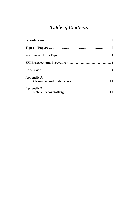# Table of Contents

| Appendix A        |  |
|-------------------|--|
| <b>Appendix B</b> |  |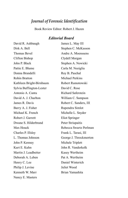## *Journal of Forensic Identification*

Book Review Editor: Robert J. Hazen

#### *Editorial Board*

David R. Ashbaugh Dirk A. Bell Thomas Bevel Clifton Bishop John P. Black Pattie E. Blume Donna Brandelli Robin Bratton Kathleen Bright-Birnbaum Sylvia Buffington-Lester Antonio A. Cantu David A. J. Charlton James R. Davis Barry A. J. Fisher Michael K. French Robert J. Garrett Dwane S. Hilderbrand Max Houck Charles P. Illsley L. Thomas Johnson John P. Kenney Kurt E. Kuhn Martin J. Leadbetter Deborah A. Leben Henry C. Lee Philip J. Levine Kenneth W. Marr Nancy E. Masters

James L. May III Stephen C. McKasson Andre A. Moenssens Clydell Morgan Stephen A. Nowicki Carla M. Noziglia Roy B. Paschal Michael Perkins Robert Ramotowski David C. Rose Richard Saferstein William C. Sampson Robert C. Sanders, III Rupendra Simlot Michelle L. Snyder Eliot Springer Peter Striupaitis Rebecca Swartz Perlman Frank L. Tarasi, III George J. Throckmorton Michele Triplett John R. Vanderkolk Kasey Wertheim Pat A. Wertheim Daniel Winterich Juliet Wood Brian Yamashita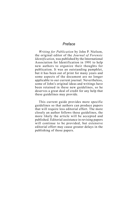#### *Preface*

*Writing for Publication* by John P. Nielson, the original editor of the *Journal of Forensic Identification*, was published by the International Association for Identification in 1991 to help new authors to organize their thoughts for publication. It was an outstanding pamphlet, but it has been out of print for many years and some aspects of the document are no longer applicable to our current journal. Nevertheless, some of John's original ideas and writings have been retained in these new guidelines, so he deserves a great deal of credit for any help that these guidelines may provide.

This current guide provides more specific guidelines so that authors can produce papers that will require less editorial effort. The more closely an author follows these guidelines, the more likely the article will be accepted and published. Editorial assistance in revising papers will continue to be provided, but extensive editorial effort may cause greater delays in the publishing of those papers.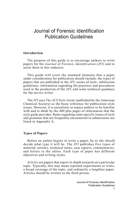## Journal of Forensic Identification Publication Guidelines

#### **Introduction**

The purpose of this guide is to encourage authors to write papers for the *Journal of Forensic Identification* (*JFI*) and to assist them in this endeavor.

This guide will cover the standard elements that a paper under consideration for publication should include, the types of papers that are published in the *JFI*, issues of style, submission guidelines, information regarding the practices and procedures used in the production of the *JFI*, and some technical guidance for the novice writer.

The *JFI* uses *The ACS Style Guide* (published by the American Chemical Society) as the basic reference for publication style issues. However, it is unrealistic to expect authors to be familiar with and to abide by the 400 plus pages of information that the style guide provides. Rules regarding some specific issues of style and grammar that are frequently encountered in submissions are listed in Appendix A.

#### **Types of Papers**

Before an author begins to write a paper, he or she should decide what type it will be. The *JFI* publishes five types of material: articles, technical notes, case reports, commentaries, and letters to the editor. Each type of paper has different objectives and writing styles.

*Articles* are papers that report in-depth research on a particular topic. Typically, this may mean repeated experiments or trials, a broad coverage of the topic, and ordinarily a lengthier paper. Articles should be written in the third person.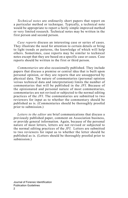*Technical notes* are ordinarily short papers that report on a particular method or technique. Typically, a technical note would be appropriate to report a fairly simple improved method or very limited research. Technical notes may be written in the first person and second person.

*Case reports* discuss an interesting case or series of cases. They illustrate the need for attention to certain details or bring to light trends or patterns, the knowledge of which will help others. Sometimes, case reports may be similar to technical notes except that they are based on a specific case or cases. Case reports should be written in the first or third person.

*Commentaries* are also occasionally published. They include papers that discuss a premise or central idea that is built upon personal opinion, or they are reports that are unsupported by physical data. The nature of commentaries (personal opinion versus technical data and interpretation) limits the number of commentaries that will be published in the *JFI*. Because of the opinionated and personal nature of most commentaries, commentaries are not revised or subjected to the normal editing practices of the *JFI*. The commentaries are submitted to two reviewers for input as to whether the commentary should be published as is. (Commentaries should be thoroughly proofed prior to submission.)

*Letters to the editor* are brief communications that discuss a previously published paper, comment on Association business, or provide general information. Again, because of the personal nature of most letters, letters are not revised or subjected to the normal editing practices of the *JFI*. Letters are submitted to two reviewers for input as to whether the letter should be published as is. (Letters should be thoroughly proofed prior to submission.)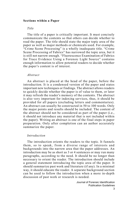#### **Sections within a Paper**

#### *Title*

The title of a paper is critically important. It must concisely communicate the contents so that others can decide whether to read the paper. The title should state the major topic area of the paper as well as major methods or chemicals used. For example, "Crime Scene Processing" is a wholly inadequate title. "Crime Scene Processing of Fabrics" has narrowed the topic area, but it is still not narrow enough. "Fluorescence Examination of Fabrics for Trace Evidence Using a Forensic Light Source" contains enough information to allow potential readers to decide whether the paper's content is of interest.

#### *Abstract*

An abstract is placed at the head of the paper, before the introduction. It is a condensed version of the paper and states important new techniques or findings. The abstract allows readers to quickly decide whether the paper is of value to them, or later it may refresh the reader's memory of the contents. The abstract is also very important for indexing services, thus, it should be provided for all papers (excluding letters and commentaries). An abstract can usually be constructed in 50 to 100 words. Only the major points and results should be included. The content of the abstract should not be considered as part of the paper (i.e., it should not introduce any material that is not included within the paper). Writing an abstract is one of the final steps in paper preparation. Only after completion can an author accurately summarize the paper.

#### *Introduction*

The introduction orients the readers to the topic. It funnels them, so to speak, from a diverse range of interests and backgrounds into the narrow area that the paper addresses. An introduction may be as short as 3 or 4 sentences or may run many paragraphs, according to the need. It should be no longer than necessary to orient the reader. The introduction should include a general statement introducing the topic area of the paper. It should summarize past work and literature (if any). In a minimal way, it should educate the reader. A separate background section can be used to follow the introduction when a more in-depth discussion of past work or research is needed.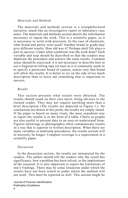#### *Materials and Methods*

The materials and methods section is a straightforward narrative, much like an investigative report or laboratory case notes. The materials and methods section details the information necessary to repeat the work. This is a scientific paper, so it is necessary to write with precision. In the case of chemicals, what brand and purity were used? Another brand or grade may give different results. How old was it? Perhaps shelf life plays a part in success. Under what conditions was the work done? Each variable and step should be described so that the readers may duplicate the procedure and achieve the same results. Common sense should be exercised; it is not necessary to describe how to use a fingerprint lifting tape (at least as it is commonly used) or to specify a particular brand of camera, unless only that brand will allow the results. It is better to err on the side of too much description than to leave out something that is important to success.

#### *Results*

This section presents what results were obtained. The results should stand on their own merit, being obvious to the trained reader. They may not require anything more than a brief description (The results are depicted in Figure 1.). No conclusions are drawn at this point; the results are simply stated. If the paper is based on many trials, the most expedient way to report the results is in the form of a table. Charts or graphs are also useful to present data in an easy-to-understand form. Figures (drawings or photographs) often communicate results in a way that is superior to written description. When there are many variables or multistep procedures, the results section will of necessity be longer. Complete coverage is a requirement in a scientific paper.

#### *Discussion*

In the discussion section, the results are interpreted for the readers. The author should tell the readers why the result has significance, how a problem has been solved, or the implications of the research. It is also important to report the limitations of one's findings. There may be some situations under which the results have not been tested or under which the method will not work. This must be reported as well. This section might be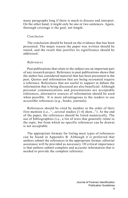many paragraphs long if there is much to discuss and interpret. On the other hand, it might only be one or two sentences. Again, thorough coverage is the goal, not length.

#### *Conclusion*

The conclusion should be based on the evidence that has been presented. The major reason the paper was written should be stated, and the result that justifies its significance should be addressed.

#### *References*

Past publications that relate to the subject are an important part of any research project. Reference to past publications shows that the author has considered material that has been presented in the past. Quotes and information that are being recounted require a reference. References that are useful to support or debate the information that is being discussed are also beneficial. Although personal communications and presentations are acceptable references, alternative sources of information should be used when possible. It is more advantageous to the readers to use accessible references (e.g., books, journals).

References should be cited by number in the order of their first mention (i.e., "...several studies [1-4] show..."). At the end of the paper, the references should be listed numerically. The use of bibliographies (i.e., a list of texts that generally relate to the topic, but from which no specific references can be drawn) is not acceptable.

The appropriate formats for listing most types of references can be found in Appendix B. Although it is preferred that authors submit the references in the appropriate format, editorial assistance will be provided as necessary. Of critical importance is that authors submit complete and accurate information that is needed to provide the complete reference.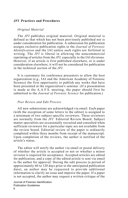#### *JFI* **Practices and Procedures**

#### *Original Material*

The *JFI* publishes original material. Original material is defined as that which has not been previously published nor is under consideration for publication. A submission for publication assigns exclusive publication rights to the *Journal of Forensic Identification* and the IAI unless such rights are forfeited in writing. The *JFI* is liberal in allowing the noncommercial reprinting of articles from the *JFI*, especially to the IAI divisions. However, if an article is first published elsewhere, or is under consideration elsewhere, it will not be considered for publication in the technical section of the *JFI*.

It is customary for conference presenters to allow the host organization (e.g., IAI and the American Academy of Forensic Science) the first opportunity to publish any works that have been presented at the organization's seminar. (If a presentation is made at the A.A.F.S. meeting, the paper should first be submitted to the *Journal of Forensic Science* for publication.)

#### *Peer Review and Edit Process*

All new submissions are acknowledged via email. Each paper (with the exception of some letters to the editor) is assigned to a minimum of two subject-specific reviewers. These reviewers are normally from the *JFI* Editorial Review Board. Subject matter specialists are occasionally recruited and consulted when sufficient reviewers for a particular topic are not available from the review board. Editorial review of the paper is ordinarily completed within three months from receipt of the manuscript. Upon completion of the reviews, the author is notified of the article's status.

The editor will notify the author via email or postal delivery of whether the article is accepted or not or whether a minor revision is required for acceptance. Accepted articles are edited for publication, and a copy of the edited article is sent via email to the author for approval. During the edit process (a period of approximately 60 to 120 days prior to the anticipated publication date), an author may be requested to provide additional information to clarify an issue and improve the paper. If a paper is not accepted, the author may request a written critique of the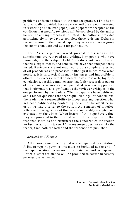problems or issues related to the nonacceptance. (This is not automatically provided, because many authors are not interested in reworking a submitted paper.) Some papers are accepted on the condition that specific revisions will be completed by the author before the editing process is initiated. The author is provided approximately thirty days to complete those revisions. Delays in the submission of the revised paper may necessitate reassigning the submission date and date for publication.

The *JFI* is a peer-reviewed journal. This means that submissions are reviewed and critiqued by people who have knowledge in the subject field. This does not mean that all theories, experiments, and conclusions have been independently tested. Reviewers are not required to do a complete retesting of all procedures and processes. Although it is desirable when possible, it is impractical in many instances and impossible in others. Reviewers attempt to detect faulty research, logic, or conclusions, but this cannot ensure that faulty research or papers of questionable accuracy are not published. A secondary practice that is ultimately as significant as the reviewer critiques is the one performed by the readers. When a paper has been published and a reader questions the technique, findings, or conclusions, the reader has a responsibility to investigate and question what has been published by contacting the author for clarification or by writing a letter to the editor. As a matter of practice, letters addressing issues of this nature are readily accepted and evaluated by the editor. When letters of this type have value, they are provided to the original author for a response. If that response satisfies and eliminates the concerns of the reader, no further action is taken. If the response does not satisfy the reader, then both the letter and the response are published.

#### *Artwork and Figures*

All artwork should be original or accompanied by a citation. A list of reprint permissions must be included at the end of the paper. Written permission for all cited artwork is required. Editorial staff assistance will be provided to secure necessary permissions as needed.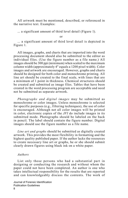All artwork must be mentioned, described, or referenced in the narrative text. Examples:

... a significant amount of third level detail (Figure 1).

or

... a significant amount of third level detail is depicted in Figure 1.

All images, graphs, and charts that are imported into the word processing document should also be submitted to the editor as individual files. (Use the figure number as a file name.) All images should be 300 ppi (minimum) when scaled to the maximum column width (approximately 4" equals a 1200 pixel width). Color images and artwork are encouraged. However, graphs and charts should be designed for both color and monochrome printing. All line art should be created to the final scale, with lines that are a minimum of 1 point in thickness. Chemical structures should be created and submitted as image files. Tables that have been created in the word processing program are acceptable and need not be submitted as separate artwork.

*Photographs and digital images* may be submitted as monochrome or color images. Unless monochrome is selected for specific purposes (e.g., filtering techniques), the use of color is encouraged. Although not all color images will be printed in color, electronic copies of the *JFI* do include images in its submitted mode. Photographs should be labeled on the back in pencil. The label should contain the figure number. Digital images should use the figure number as a file name.

*Line art and graphs* should be submitted as digitally created artwork. This provides the most flexibility in formatting and the highest quality published paper. If the author lacks the resources to create necessary line art or graphs, he or she should submit clearly drawn figures using black ink on a white paper.

#### *Authors*

List only those persons who had a substantial part in designing or conducting the research and without whom the paper could not have been completed. An author is one who takes intellectual responsibility for the results that are reported and can knowledgeably discuss the contents. The work of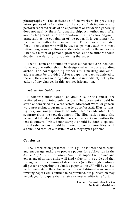photographers, the assistance of co-workers in providing minor pieces of information, or the work of lab technicians to perform repeated trials of an experiment or validation generally does not qualify them for coauthorship. An author may offer acknowledgments and appreciation in an acknowledgment paragraph at the conclusion of the paper. It is customary for the principal author to be named first. The author who is listed first is the author who will be used as primary author in most referencing systems. However, the order in which the names are listed is a matter of personal preference, and the authors should decide the order prior to submitting the paper.

The full name and affiliation of each author should be included. However, one author should be designated as the corresponding author. The corresponding author's full mailing and email address must be provided. After a paper has been submitted to the *JFI*, the corresponding author should immediately notify the editor of any changes in this contact information.

#### *Submission Guidelines*

Electronic submissions (on disk, CD, or via email) are preferred over printed submissions. The document should be saved or converted to a WordPerfect, Microsoft Word, or generic word processing program format (e.g., .rtf or .txt). Illustrations, figures, and images should be submitted as individual files separate from the text document. The illustrations may also be imbedded, along with their respective captions, within the text document. Printed manuscripts should be double-spaced. Email submissions should be limited to one or more files, with a combined total of a maximum of 6 megabytes per email.

#### **Conclusion**

The information presented in this guide is intended to assist and encourage authors to prepare papers for publication in the *Journal of Forensic Identification*. It is hoped that novice and experienced writers alike will find value in this guide and that through a brief skimming of its contents (or a thorough reading), all persons preparing to submit a paper to the *JFI* will be able to better understand the submission process. Editorial assistance in revising papers will continue to be provided, but publication may be delayed for papers that require extensive editorial effort.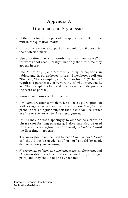## Appendix A

## Grammar and Style Issues

- If the punctuation is part of the quotation, it should be within the quotation marks.
- If the punctuation is not part of the quotation, it goes after the quotation mark.
- Use quotation marks for words used in a "new sense" or for words "not used literally", but only the first time they appear in text.
- Use "*i.e.*", *"e.g.*", and "*etc.*" only in figure captions, in tables, and in parentheses in text. Elsewhere, spell out "that is", "for example", and "and so forth". ("That is" requires a paraphrase or rewording of what preceded it, and "for example" is followed by an example of the preceding word or phrase.)
- *Word contractions* will not be used.
- *Pronouns* are often a problem. Do not use a plural pronoun with a singular antecedent. Writers often use "they" as the pronoun for a singular subject; that is *not correct*. Either use "he or she" or *make the subject plural*.
- *Italics* may be used sparingly to emphasize a word or phrase (not for long passages). Italics may also be used for a *word being defined* or for a newly *introduced* word the first time it appears.
- The *slash* should not be used to mean "and" or "or". "And/ or" should not be used; "and" or "or" should be used, depending on your meaning.
- *Fingerprint*, *palmprint*, *soleprint*, *tenprint*, *footprint*, and *shoeprint* should each be used as one word (i.e., not finger print) and they should not be hyphenated.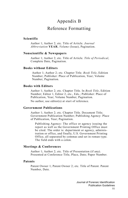# Appendix B Reference Formatting

#### **Scientific**

 Author 1; Author 2; etc. Title of Article. *Journal Abbreviation* **YEAR**, *Volume* (Issue), Pagination.

#### **Nonscientific & Newspapers**

 Author 1; Author 2; etc. Title of Article. *Title of Periodical*, Complete Date, Pagination.

#### **Books without Editors**

 Author 1; Author 2; etc. Chapter Title. *Book Title*, Edition Number; Publisher: Place of Publication, Year; Volume Number, Pagination.

#### **Books with Editors**

 Author 1; Author 2; etc. Chapter Title. In *Book Title*, Edition Number; Editor 1, Editor 2, etc., Eds.; Publisher: Place of Publication, Year; Volume Number, Pagination. No author, use editor(s) at start of reference.

#### **Government Publications**

 Author 1; Author 2; etc. Chapter Title. Document Title; Government Publication Number; Publishing Agency: Place of Publication, Year; Pagination.

 Publishing Agency: The office or agency issuing the report as well as the Government Printing Office must be cited. The order is: department or agency, administration or office, and finally, U.S. Government Printing Office, all separated by commas and set in roman type. The field ends with a colon.

#### **Meetings & Conferences**

 Author 1; Author 2; etc. Title of Presentation (if any). Presented at Conference Title, Place, Date; Paper Number.

#### **Patents**

 Patent Owner 1; Patent Owner 2; etc. Title of Patent. Patent Number, Date.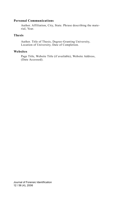#### **Personal Communications**

 Author. Affiliation, City, State. Phrase describing the material, Year.

#### **Thesis**

 Author. Title of Thesis, Degree-Granting University, Location of University, Date of Completion.

#### **Websites**

 Page Title, Website Title (if available), Website Address, (Date Accessed).